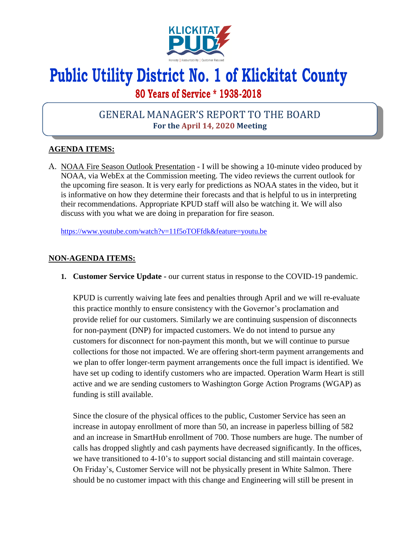

# **Public Utility District No. 1 of Klickitat County**

# **80 Years of Service \* 1938-2018**

# GENERAL MANAGER'S REPORT TO THE BOARD **For the April 14, 2020 Meeting**

## **AGENDA ITEMS:**

A. NOAA Fire Season Outlook Presentation - I will be showing a 10-minute video produced by NOAA, via WebEx at the Commission meeting. The video reviews the current outlook for the upcoming fire season. It is very early for predictions as NOAA states in the video, but it is informative on how they determine their forecasts and that is helpful to us in interpreting their recommendations. Appropriate KPUD staff will also be watching it. We will also discuss with you what we are doing in preparation for fire season.

<https://www.youtube.com/watch?v=11f5oTOFfdk&feature=youtu.be>

### **NON-AGENDA ITEMS:**

**1. Customer Service Update -** our current status in response to the COVID-19 pandemic.

KPUD is currently waiving late fees and penalties through April and we will re-evaluate this practice monthly to ensure consistency with the Governor's proclamation and provide relief for our customers. Similarly we are continuing suspension of disconnects for non-payment (DNP) for impacted customers. We do not intend to pursue any customers for disconnect for non-payment this month, but we will continue to pursue collections for those not impacted. We are offering short-term payment arrangements and we plan to offer longer-term payment arrangements once the full impact is identified. We have set up coding to identify customers who are impacted. Operation Warm Heart is still active and we are sending customers to Washington Gorge Action Programs (WGAP) as funding is still available.

Since the closure of the physical offices to the public, Customer Service has seen an increase in autopay enrollment of more than 50, an increase in paperless billing of 582 and an increase in SmartHub enrollment of 700. Those numbers are huge. The number of calls has dropped slightly and cash payments have decreased significantly. In the offices, we have transitioned to 4-10's to support social distancing and still maintain coverage. On Friday's, Customer Service will not be physically present in White Salmon. There should be no customer impact with this change and Engineering will still be present in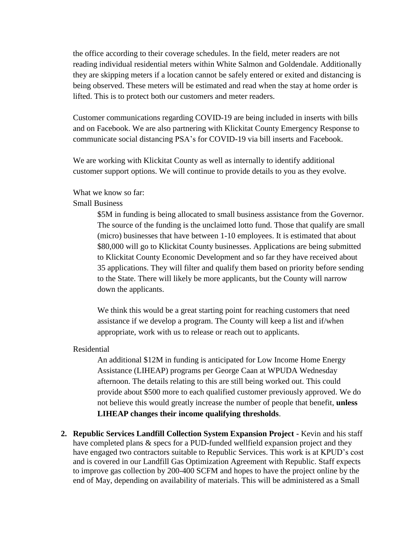the office according to their coverage schedules. In the field, meter readers are not reading individual residential meters within White Salmon and Goldendale. Additionally they are skipping meters if a location cannot be safely entered or exited and distancing is being observed. These meters will be estimated and read when the stay at home order is lifted. This is to protect both our customers and meter readers.

Customer communications regarding COVID-19 are being included in inserts with bills and on Facebook. We are also partnering with Klickitat County Emergency Response to communicate social distancing PSA's for COVID-19 via bill inserts and Facebook.

We are working with Klickitat County as well as internally to identify additional customer support options. We will continue to provide details to you as they evolve.

#### What we know so far:

#### Small Business

\$5M in funding is being allocated to small business assistance from the Governor. The source of the funding is the unclaimed lotto fund. Those that qualify are small (micro) businesses that have between 1-10 employees. It is estimated that about \$80,000 will go to Klickitat County businesses. Applications are being submitted to Klickitat County Economic Development and so far they have received about 35 applications. They will filter and qualify them based on priority before sending to the State. There will likely be more applicants, but the County will narrow down the applicants.

We think this would be a great starting point for reaching customers that need assistance if we develop a program. The County will keep a list and if/when appropriate, work with us to release or reach out to applicants.

#### Residential

An additional \$12M in funding is anticipated for Low Income Home Energy Assistance (LIHEAP) programs per George Caan at WPUDA Wednesday afternoon. The details relating to this are still being worked out. This could provide about \$500 more to each qualified customer previously approved. We do not believe this would greatly increase the number of people that benefit, **unless LIHEAP changes their income qualifying thresholds**.

**2. Republic Services Landfill Collection System Expansion Project -** Kevin and his staff have completed plans & specs for a PUD-funded wellfield expansion project and they have engaged two contractors suitable to Republic Services. This work is at KPUD's cost and is covered in our Landfill Gas Optimization Agreement with Republic. Staff expects to improve gas collection by 200-400 SCFM and hopes to have the project online by the end of May, depending on availability of materials. This will be administered as a Small